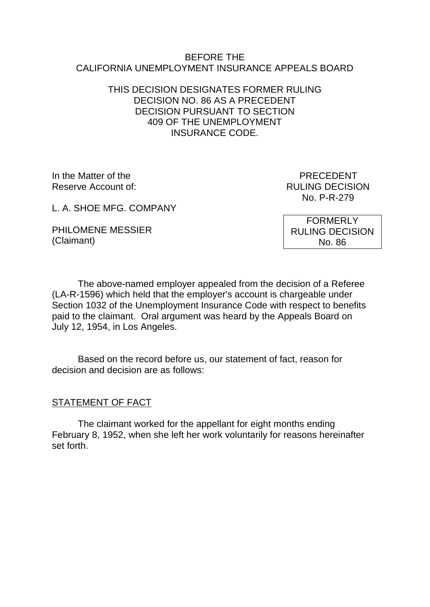#### BEFORE THE CALIFORNIA UNEMPLOYMENT INSURANCE APPEALS BOARD

## THIS DECISION DESIGNATES FORMER RULING DECISION NO. 86 AS A PRECEDENT DECISION PURSUANT TO SECTION 409 OF THE UNEMPLOYMENT INSURANCE CODE.

In the Matter of the **PRECEDENT** Reserve Account of:  $\overline{\phantom{a}}$  RULING DECISION

No. P-R-279

L. A. SHOE MFG. COMPANY

PHILOMENE MESSIER (Claimant)

FORMERLY RULING DECISION No. 86

The above-named employer appealed from the decision of a Referee (LA-R-1596) which held that the employer's account is chargeable under Section 1032 of the Unemployment Insurance Code with respect to benefits paid to the claimant. Oral argument was heard by the Appeals Board on July 12, 1954, in Los Angeles.

Based on the record before us, our statement of fact, reason for decision and decision are as follows:

#### STATEMENT OF FACT

The claimant worked for the appellant for eight months ending February 8, 1952, when she left her work voluntarily for reasons hereinafter set forth.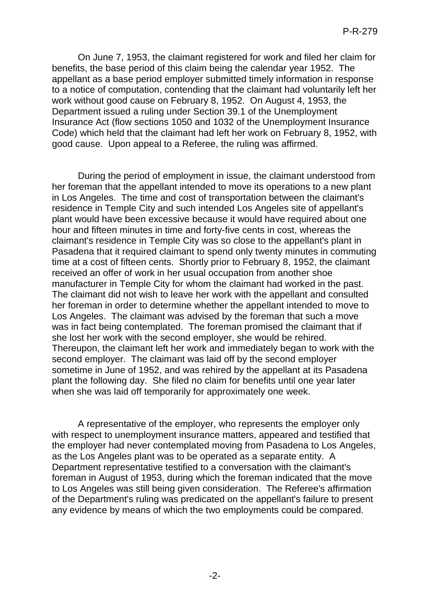On June 7, 1953, the claimant registered for work and filed her claim for benefits, the base period of this claim being the calendar year 1952. The appellant as a base period employer submitted timely information in response to a notice of computation, contending that the claimant had voluntarily left her work without good cause on February 8, 1952. On August 4, 1953, the Department issued a ruling under Section 39.1 of the Unemployment Insurance Act (flow sections 1050 and 1032 of the Unemployment Insurance Code) which held that the claimant had left her work on February 8, 1952, with good cause. Upon appeal to a Referee, the ruling was affirmed.

During the period of employment in issue, the claimant understood from her foreman that the appellant intended to move its operations to a new plant in Los Angeles. The time and cost of transportation between the claimant's residence in Temple City and such intended Los Angeles site of appellant's plant would have been excessive because it would have required about one hour and fifteen minutes in time and forty-five cents in cost, whereas the claimant's residence in Temple City was so close to the appellant's plant in Pasadena that it required claimant to spend only twenty minutes in commuting time at a cost of fifteen cents. Shortly prior to February 8, 1952, the claimant received an offer of work in her usual occupation from another shoe manufacturer in Temple City for whom the claimant had worked in the past. The claimant did not wish to leave her work with the appellant and consulted her foreman in order to determine whether the appellant intended to move to Los Angeles. The claimant was advised by the foreman that such a move was in fact being contemplated. The foreman promised the claimant that if she lost her work with the second employer, she would be rehired. Thereupon, the claimant left her work and immediately began to work with the second employer. The claimant was laid off by the second employer sometime in June of 1952, and was rehired by the appellant at its Pasadena plant the following day. She filed no claim for benefits until one year later when she was laid off temporarily for approximately one week.

A representative of the employer, who represents the employer only with respect to unemployment insurance matters, appeared and testified that the employer had never contemplated moving from Pasadena to Los Angeles, as the Los Angeles plant was to be operated as a separate entity. A Department representative testified to a conversation with the claimant's foreman in August of 1953, during which the foreman indicated that the move to Los Angeles was still being given consideration. The Referee's affirmation of the Department's ruling was predicated on the appellant's failure to present any evidence by means of which the two employments could be compared.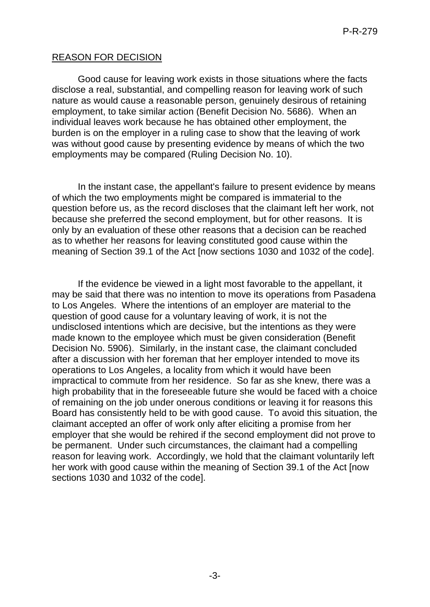# REASON FOR DECISION

Good cause for leaving work exists in those situations where the facts disclose a real, substantial, and compelling reason for leaving work of such nature as would cause a reasonable person, genuinely desirous of retaining employment, to take similar action (Benefit Decision No. 5686). When an individual leaves work because he has obtained other employment, the burden is on the employer in a ruling case to show that the leaving of work was without good cause by presenting evidence by means of which the two employments may be compared (Ruling Decision No. 10).

In the instant case, the appellant's failure to present evidence by means of which the two employments might be compared is immaterial to the question before us, as the record discloses that the claimant left her work, not because she preferred the second employment, but for other reasons. It is only by an evaluation of these other reasons that a decision can be reached as to whether her reasons for leaving constituted good cause within the meaning of Section 39.1 of the Act [now sections 1030 and 1032 of the code].

If the evidence be viewed in a light most favorable to the appellant, it may be said that there was no intention to move its operations from Pasadena to Los Angeles. Where the intentions of an employer are material to the question of good cause for a voluntary leaving of work, it is not the undisclosed intentions which are decisive, but the intentions as they were made known to the employee which must be given consideration (Benefit Decision No. 5906). Similarly, in the instant case, the claimant concluded after a discussion with her foreman that her employer intended to move its operations to Los Angeles, a locality from which it would have been impractical to commute from her residence. So far as she knew, there was a high probability that in the foreseeable future she would be faced with a choice of remaining on the job under onerous conditions or leaving it for reasons this Board has consistently held to be with good cause. To avoid this situation, the claimant accepted an offer of work only after eliciting a promise from her employer that she would be rehired if the second employment did not prove to be permanent. Under such circumstances, the claimant had a compelling reason for leaving work. Accordingly, we hold that the claimant voluntarily left her work with good cause within the meaning of Section 39.1 of the Act [now sections 1030 and 1032 of the code].